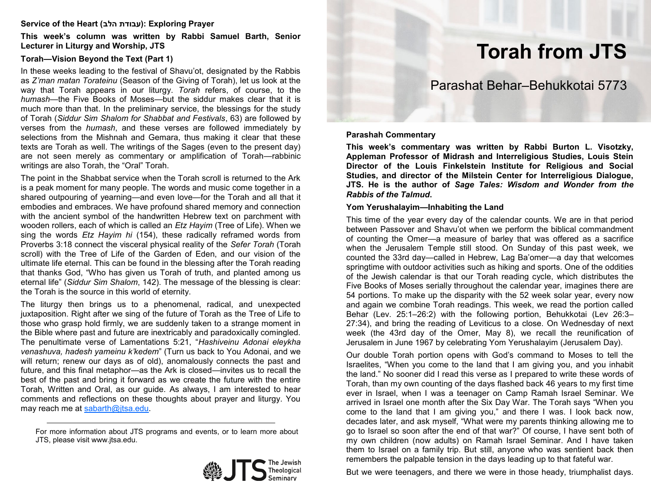#### **Service of the Heart (הלב עבודת(: Exploring Prayer**

**This week's column was written by Rabbi Samuel Barth, Senior Lecturer in Liturgy and Worship, JTS** 

## **Torah—Vision Beyond the Text (Part 1)**

In these weeks leading to the festival of Shavu'ot, designated by the Rabbis as *Z'man matan Torateinu* (Season of the Giving of Torah), let us look at the way that Torah appears in our liturgy. *Torah* refers, of course, to the *humash*—the Five Books of Moses—but the siddur makes clear that it is much more than that. In the preliminary service, the blessings for the study of Torah (*Siddur Sim Shalom for Shabbat and Festivals*, 63) are followed by verses from the *humash*, and these verses are followed immediately by selections from the Mishnah and Gemara, thus making it clear that these texts are Torah as well. The writings of the Sages (even to the present day) are not seen merely as commentary or amplification of Torah—rabbinic writings are also Torah, the "Oral" Torah.

The point in the Shabbat service when the Torah scroll is returned to the Ark is a peak moment for many people. The words and music come together in a shared outpouring of yearning—and even love—for the Torah and all that it embodies and embraces. We have profound shared memory and connection with the ancient symbol of the handwritten Hebrew text on parchment with wooden rollers, each of which is called an *Etz Hayim* (Tree of Life). When we sing the words *Etz Hayim hi* (154), these radically reframed words from Proverbs 3:18 connect the visceral physical reality of the *Sefer Torah* (Torah scroll) with the Tree of Life of the Garden of Eden, and our vision of the ultimate life eternal. This can be found in the blessing after the Torah reading that thanks God, "Who has given us Torah of truth, and planted among us eternal life" (*Siddur Sim Shalom*, 142). The message of the blessing is clear: the Torah is the source in this world of eternity.

The liturgy then brings us to a phenomenal, radical, and unexpected juxtaposition. Right after we sing of the future of Torah as the Tree of Life to those who grasp hold firmly, we are suddenly taken to a strange moment in the Bible where past and future are inextricably and paradoxically comingled. The penultimate verse of Lamentations 5:21, "*Hashiveinu Adonai eleykha venashuva, hadesh yameinu k'kedem*" (Turn us back to You Adonai, and we will return; renew our days as of old), anomalously connects the past and future, and this final metaphor—as the Ark is closed—invites us to recall the best of the past and bring it forward as we create the future with the entire Torah, Written and Oral, as our guide. As always, I am interested to hear comments and reflections on these thoughts about prayer and liturgy. You may reach me at [sabarth@jtsa.edu.](mailto:sabarth@jtsa.edu)

For more information about JTS programs and events, or to learn more about JTS, please visit www.jtsa.edu.



# **Torah from JTS**

# Parashat Behar–Behukkotai 5773

#### **Parashah Commentary**

**This week's commentary was written by Rabbi Burton L. Visotzky, Appleman Professor of Midrash and Interreligious Studies, Louis Stein Director of the Louis Finkelstein Institute for Religious and Social Studies, and director of the Milstein Center for Interreligious Dialogue, JTS. He is the author of** *Sage Tales: Wisdom and Wonder from the Rabbis of the Talmud***.**

#### **Yom Yerushalayim—Inhabiting the Land**

This time of the year every day of the calendar counts. We are in that period between Passover and Shavu'ot when we perform the biblical commandment of counting the Omer—a measure of barley that was offered as a sacrifice when the Jerusalem Temple still stood. On Sunday of this past week, we counted the 33rd day—called in Hebrew, Lag Ba'omer*—*a day that welcomes springtime with outdoor activities such as hiking and sports. One of the oddities of the Jewish calendar is that our Torah reading cycle, which distributes the Five Books of Moses serially throughout the calendar year, imagines there are 54 portions. To make up the disparity with the 52 week solar year, every now and again we combine Torah readings. This week, we read the portion called Behar (Lev. 25:1–26:2) with the following portion, Behukkotai (Lev 26:3– 27:34), and bring the reading of Leviticus to a close. On Wednesday of next week (the 43rd day of the Omer, May 8), we recall the reunification of Jerusalem in June 1967 by celebrating Yom Yerushalayim (Jerusalem Day)*.*

Our double Torah portion opens with God's command to Moses to tell the Israelites, "When you come to the land that I am giving you, and you inhabit the land." No sooner did I read this verse as I prepared to write these words of Torah, than my own counting of the days flashed back 46 years to my first time ever in Israel, when I was a teenager on Camp Ramah Israel Seminar. We arrived in Israel one month after the Six Day War. The Torah says "When you come to the land that I am giving you," and there I was. I look back now, decades later, and ask myself, "What were my parents thinking allowing me to go to Israel so soon after the end of that war?" Of course, I have sent both of my own children (now adults) on Ramah Israel Seminar. And I have taken them to Israel on a family trip. But still, anyone who was sentient back then remembers the palpable tension in the days leading up to that fateful war.

But we were teenagers, and there we were in those heady, triumphalist days.